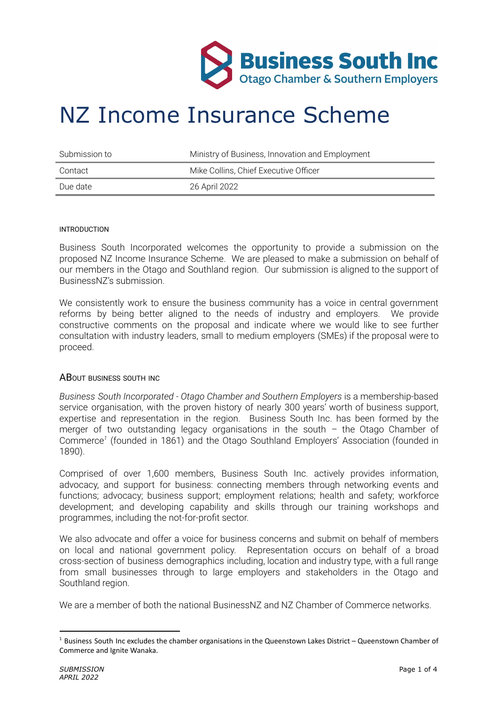

# NZ Income Insurance Scheme

| - Submission to | Ministry of Business, Innovation and Employment |
|-----------------|-------------------------------------------------|
| Contact         | Mike Collins, Chief Executive Officer           |
| Due date        | 26 April 2022                                   |

#### INTRODUCTION

Business South Incorporated welcomes the opportunity to provide a submission on the proposed NZ Income Insurance Scheme. We are pleased to make a submission on behalf of our members in the Otago and Southland region. Our submission is aligned to the support of BusinessNZ's submission.

We consistently work to ensure the business community has a voice in central government reforms by being better aligned to the needs of industry and employers. We provide constructive comments on the proposal and indicate where we would like to see further consultation with industry leaders, small to medium employers (SMEs) if the proposal were to proceed.

### ABOUT BUSINESS SOUTH INC

*Business South Incorporated - Otago Chamber and Southern Employers* is a membership-based service organisation, with the proven history of nearly 300 years' worth of business support, expertise and representation in the region. Business South Inc. has been formed by the merger of two outstanding legacy organisations in the south  $-$  the Otago Chamber of Commerce *1* (founded in 1861) and the Otago Southland Employers' Association (founded in 1890).

Comprised of over 1,600 members, Business South Inc. actively provides information, advocacy, and support for business: connecting members through networking events and functions; advocacy; business support; employment relations; health and safety; workforce development; and developing capability and skills through our training workshops and programmes, including the not-for-profit sector.

We also advocate and offer a voice for business concerns and submit on behalf of members on local and national government policy. Representation occurs on behalf of a broad cross-section of business demographics including, location and industry type, with a full range from small businesses through to large employers and stakeholders in the Otago and Southland region.

We are a member of both the national BusinessNZ and NZ Chamber of Commerce networks.

 $1$  Business South Inc excludes the chamber organisations in the Queenstown Lakes District – Queenstown Chamber of Commerce and Ignite Wanaka.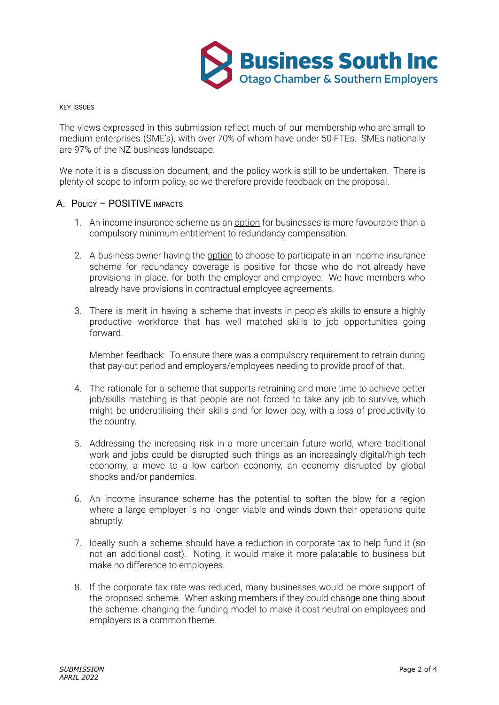

KEY ISSUES

The views expressed in this submission reflect much of our membership who are small to medium enterprises (SME's), with over 70% of whom have under 50 FTEs. SMEs nationally are 97% of the NZ business landscape.

We note it is a discussion document, and the policy work is still to be undertaken. There is plenty of scope to inform policy, so we therefore provide feedback on the proposal.

## A. POLICY – POSITIVE IMPACTS

- 1. An income insurance scheme as an option for businesses is more favourable than a compulsory minimum entitlement to redundancy compensation.
- 2. A business owner having the option to choose to participate in an income insurance scheme for redundancy coverage is positive for those who do not already have provisions in place, for both the employer and employee. We have members who already have provisions in contractual employee agreements.
- 3. There is merit in having a scheme that invests in people's skills to ensure a highly productive workforce that has well matched skills to job opportunities going forward.

Member feedback: To ensure there was a compulsory requirement to retrain during that pay-out period and employers/employees needing to provide proof of that.

- 4. The rationale for a scheme that supports retraining and more time to achieve better job/skills matching is that people are not forced to take any job to survive, which might be underutilising their skills and for lower pay, with a loss of productivity to the country.
- 5. Addressing the increasing risk in a more uncertain future world, where traditional work and jobs could be disrupted such things as an increasingly digital/high tech economy, a move to a low carbon economy, an economy disrupted by global shocks and/or pandemics.
- 6. An income insurance scheme has the potential to soften the blow for a region where a large employer is no longer viable and winds down their operations quite abruptly.
- 7. Ideally such a scheme should have a reduction in corporate tax to help fund it (so not an additional cost). Noting, it would make it more palatable to business but make no difference to employees.
- 8. If the corporate tax rate was reduced, many businesses would be more support of the proposed scheme. When asking members if they could change one thing about the scheme: changing the funding model to make it cost neutral on employees and employers is a common theme.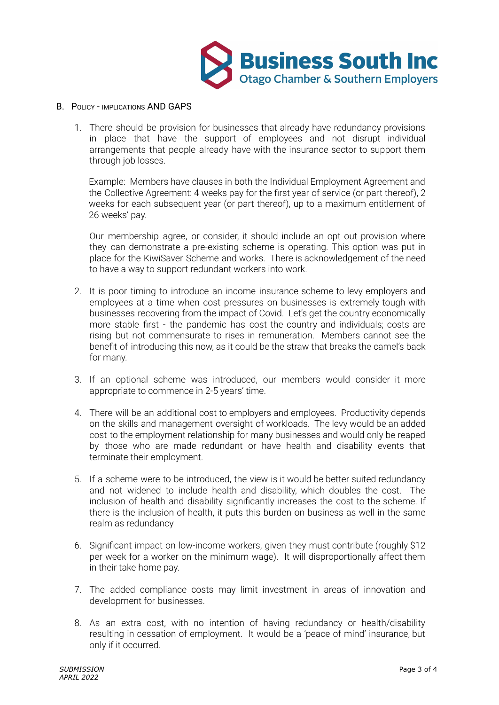

## B. POLICY - IMPLICATIONS AND GAPS

1. There should be provision for businesses that already have redundancy provisions in place that have the support of employees and not disrupt individual arrangements that people already have with the insurance sector to support them through job losses.

Example: Members have clauses in both the Individual Employment Agreement and the Collective Agreement: 4 weeks pay for the first year of service (or part thereof), 2 weeks for each subsequent year (or part thereof), up to a maximum entitlement of 26 weeks' pay.

Our membership agree, or consider, it should include an opt out provision where they can demonstrate a pre-existing scheme is operating. This option was put in place for the KiwiSaver Scheme and works. There is acknowledgement of the need to have a way to support redundant workers into work.

- 2. It is poor timing to introduce an income insurance scheme to levy employers and employees at a time when cost pressures on businesses is extremely tough with businesses recovering from the impact of Covid. Let's get the country economically more stable first - the pandemic has cost the country and individuals; costs are rising but not commensurate to rises in remuneration. Members cannot see the benefit of introducing this now, as it could be the straw that breaks the camel's back for many.
- 3. If an optional scheme was introduced, our members would consider it more appropriate to commence in 2-5 years' time.
- 4. There will be an additional cost to employers and employees. Productivity depends on the skills and management oversight of workloads. The levy would be an added cost to the employment relationship for many businesses and would only be reaped by those who are made redundant or have health and disability events that terminate their employment.
- 5. If a scheme were to be introduced, the view is it would be better suited redundancy and not widened to include health and disability, which doubles the cost. The inclusion of health and disability significantly increases the cost to the scheme. If there is the inclusion of health, it puts this burden on business as well in the same realm as redundancy
- 6. Significant impact on low-income workers, given they must contribute (roughly \$12 per week for a worker on the minimum wage). It will disproportionally affect them in their take home pay.
- 7. The added compliance costs may limit investment in areas of innovation and development for businesses.
- 8. As an extra cost, with no intention of having redundancy or health/disability resulting in cessation of employment. It would be a 'peace of mind' insurance, but only if it occurred.